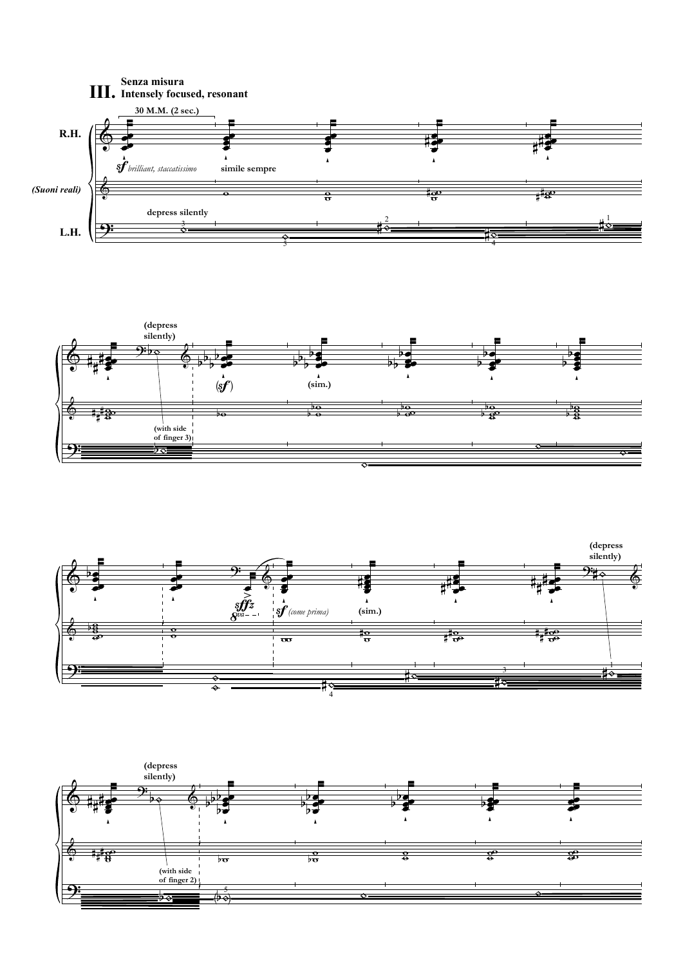